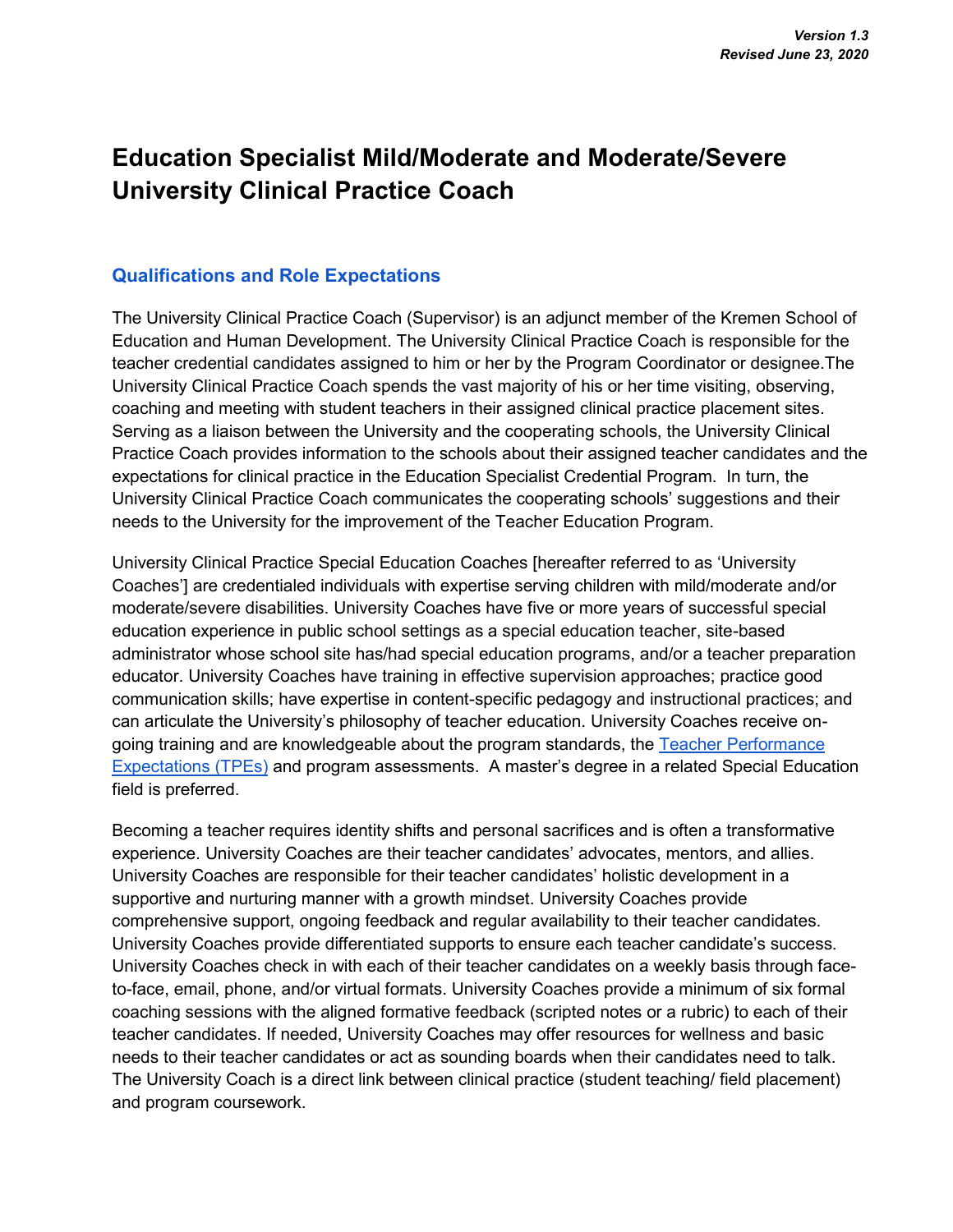# **Education Specialist Mild/Moderate and Moderate/Severe University Clinical Practice Coach**

## **Qualifications and Role Expectations**

The University Clinical Practice Coach (Supervisor) is an adjunct member of the Kremen School of Education and Human Development. The University Clinical Practice Coach is responsible for the teacher credential candidates assigned to him or her by the Program Coordinator or designee.The University Clinical Practice Coach spends the vast majority of his or her time visiting, observing, coaching and meeting with student teachers in their assigned clinical practice placement sites. Serving as a liaison between the University and the cooperating schools, the University Clinical Practice Coach provides information to the schools about their assigned teacher candidates and the expectations for clinical practice in the Education Specialist Credential Program. In turn, the University Clinical Practice Coach communicates the cooperating schools' suggestions and their needs to the University for the improvement of the Teacher Education Program.

University Clinical Practice Special Education Coaches [hereafter referred to as 'University Coaches'] are credentialed individuals with expertise serving children with mild/moderate and/or moderate/severe disabilities. University Coaches have five or more years of successful special education experience in public school settings as a special education teacher, site-based administrator whose school site has/had special education programs, and/or a teacher preparation educator. University Coaches have training in effective supervision approaches; practice good communication skills; have expertise in content-specific pedagogy and instructional practices; and can articulate the University's philosophy of teacher education. University Coaches receive ongoing training and are knowledgeable about the program standards, th[e](https://www.ctc.ca.gov/docs/default-source/educator-prep/standards/adopted-tpes-2016.pdf) [Teacher Performance](https://www.ctc.ca.gov/docs/default-source/educator-prep/standards/adopted-tpes-2016.pdf)  [Expectations \(TPEs\)](https://www.ctc.ca.gov/docs/default-source/educator-prep/standards/adopted-tpes-2016.pdf) and program assessments. A master's degree in a related Special Education field is preferred.

Becoming a teacher requires identity shifts and personal sacrifices and is often a transformative experience. University Coaches are their teacher candidates' advocates, mentors, and allies. University Coaches are responsible for their teacher candidates' holistic development in a supportive and nurturing manner with a growth mindset. University Coaches provide comprehensive support, ongoing feedback and regular availability to their teacher candidates. University Coaches provide differentiated supports to ensure each teacher candidate's success. University Coaches check in with each of their teacher candidates on a weekly basis through faceto-face, email, phone, and/or virtual formats. University Coaches provide a minimum of six formal coaching sessions with the aligned formative feedback (scripted notes or a rubric) to each of their teacher candidates. If needed, University Coaches may offer resources for wellness and basic needs to their teacher candidates or act as sounding boards when their candidates need to talk. The University Coach is a direct link between clinical practice (student teaching/ field placement) and program coursework.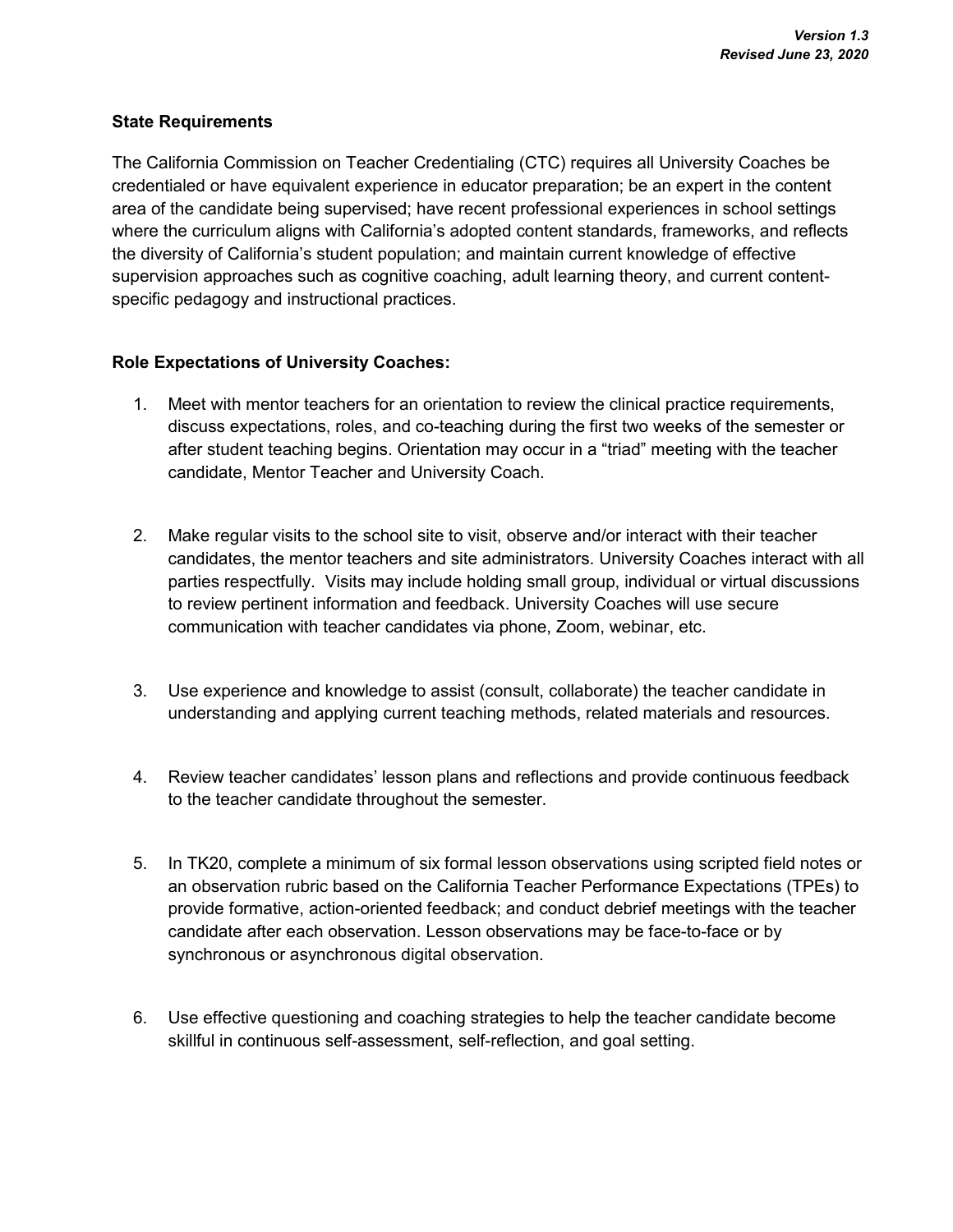#### **State Requirements**

The California Commission on Teacher Credentialing (CTC) requires all University Coaches be credentialed or have equivalent experience in educator preparation; be an expert in the content area of the candidate being supervised; have recent professional experiences in school settings where the curriculum aligns with California's adopted content standards, frameworks, and reflects the diversity of California's student population; and maintain current knowledge of effective supervision approaches such as cognitive coaching, adult learning theory, and current contentspecific pedagogy and instructional practices.

## **Role Expectations of University Coaches:**

- 1. Meet with mentor teachers for an orientation to review the clinical practice requirements, discuss expectations, roles, and co-teaching during the first two weeks of the semester or after student teaching begins. Orientation may occur in a "triad" meeting with the teacher candidate, Mentor Teacher and University Coach.
- 2. Make regular visits to the school site to visit, observe and/or interact with their teacher candidates, the mentor teachers and site administrators. University Coaches interact with all parties respectfully. Visits may include holding small group, individual or virtual discussions to review pertinent information and feedback. University Coaches will use secure communication with teacher candidates via phone, Zoom, webinar, etc.
- 3. Use experience and knowledge to assist (consult, collaborate) the teacher candidate in understanding and applying current teaching methods, related materials and resources.
- 4. Review teacher candidates' lesson plans and reflections and provide continuous feedback to the teacher candidate throughout the semester.
- 5. In TK20, complete a minimum of six formal lesson observations using scripted field notes or an observation rubric based on the California Teacher Performance Expectations (TPEs) to provide formative, action-oriented feedback; and conduct debrief meetings with the teacher candidate after each observation. Lesson observations may be face-to-face or by synchronous or asynchronous digital observation.
- 6. Use effective questioning and coaching strategies to help the teacher candidate become skillful in continuous self-assessment, self-reflection, and goal setting.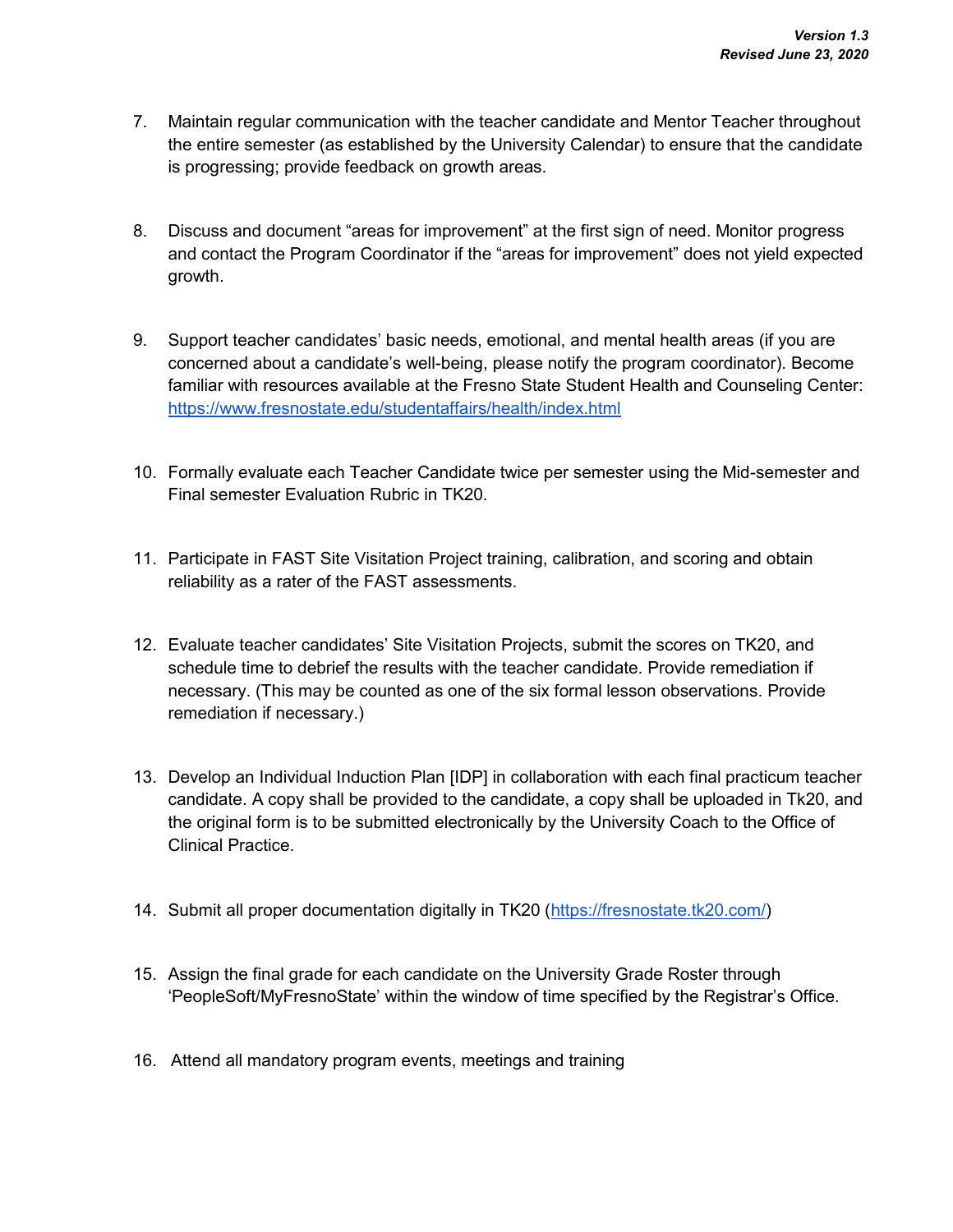- 7. Maintain regular communication with the teacher candidate and Mentor Teacher throughout the entire semester (as established by the University Calendar) to ensure that the candidate is progressing; provide feedback on growth areas.
- 8. Discuss and document "areas for improvement" at the first sign of need. Monitor progress and contact the Program Coordinator if the "areas for improvement" does not yield expected growth.
- 9. Support teacher candidates' basic needs, emotional, and mental health areas (if you are concerned about a candidate's well-being, please notify the program coordinator). Become familiar with resources available at the Fresno State Student Health and Counseling Center[:](https://www.fresnostate.edu/studentaffairs/health/index.html) <https://www.fresnostate.edu/studentaffairs/health/index.html>
- 10. Formally evaluate each Teacher Candidate twice per semester using the Mid-semester and Final semester Evaluation Rubric in TK20.
- 11. Participate in FAST Site Visitation Project training, calibration, and scoring and obtain reliability as a rater of the FAST assessments.
- 12. Evaluate teacher candidates' Site Visitation Projects, submit the scores on TK20, and schedule time to debrief the results with the teacher candidate. Provide remediation if necessary. (This may be counted as one of the six formal lesson observations. Provide remediation if necessary.)
- 13. Develop an Individual Induction Plan [IDP] in collaboration with each final practicum teacher candidate. A copy shall be provided to the candidate, a copy shall be uploaded in Tk20, and the original form is to be submitted electronically by the University Coach to the Office of Clinical Practice.
- 14. Submit all proper documentation digitally in TK20 [\(https://fresnostate.tk20.com/\)](https://fresnostate.tk20.com/)
- 15. Assign the final grade for each candidate on the University Grade Roster through 'PeopleSoft/MyFresnoState' within the window of time specified by the Registrar's Office.
- 16. Attend all mandatory program events, meetings and training